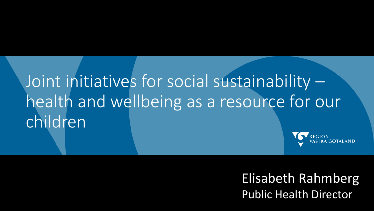# Joint initiatives for social sustainability – health and wellbeing as a resource for our children



Elisabeth Rahmberg Public Health Director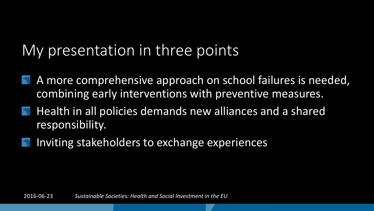### My presentation in three points

- A more comprehensive approach on school failures is needed, combining early interventions with preventive measures.
- Health in all policies demands new alliances and a shared responsibility.
- Inviting stakeholders to exchange experiences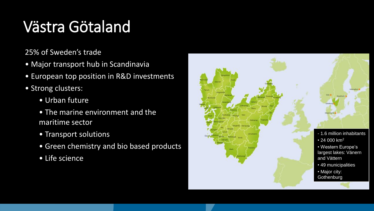## Västra Götaland

25% of Sweden's trade

- Major transport hub in Scandinavia
- European top position in R&D investments
- Strong clusters:
	- Urban future
	- The marine environment and the maritime sector
	- Transport solutions
	- Green chemistry and bio based products
	- Life science

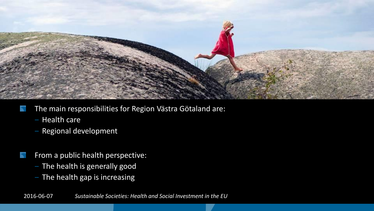

- The main responsibilities for Region Västra Götaland are:
	- ‒ Health care
	- Regional development
- From a public health perspective:
	- The health is generally good
	- The health gap is increasing

2016-06-07 *Sustainable Societies: Health and Social Investment in the EU*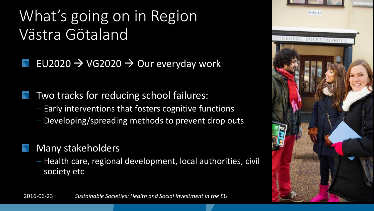### What's going on in Region Västra Götaland

- EU2020  $\rightarrow$  VG2020  $\rightarrow$  Our everyday work
- Two tracks for reducing school failures: ‒ Early interventions that fosters cognitive functions ‒ Developing/spreading methods to prevent drop outs
	- Many stakeholders
		- ‒ Health care, regional development, local authorities, civil society etc



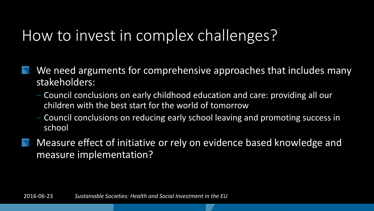### How to invest in complex challenges?

- We need arguments for comprehensive approaches that includes many stakeholders:
	- ‒ Council conclusions on early childhood education and care: providing all our children with the best start for the world of tomorrow
	- ‒ Council conclusions on reducing early school leaving and promoting success in school
- Measure effect of initiative or rely on evidence based knowledge and measure implementation?